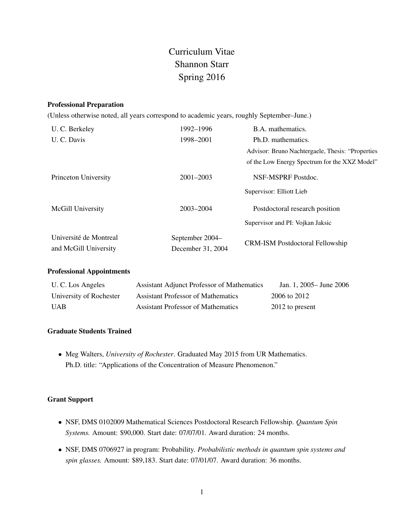# Curriculum Vitae Shannon Starr Spring 2016

## Professional Preparation

(Unless otherwise noted, all years correspond to academic years, roughly September–June.)

| U. C. Berkeley                                  | 1992-1996                            | B.A. mathematics.                                |  |
|-------------------------------------------------|--------------------------------------|--------------------------------------------------|--|
| U. C. Davis                                     | 1998-2001                            | Ph.D. mathematics.                               |  |
|                                                 |                                      | Advisor: Bruno Nachtergaele, Thesis: "Properties |  |
|                                                 |                                      | of the Low Energy Spectrum for the XXZ Model"    |  |
| Princeton University                            | $2001 - 2003$                        | NSF-MSPRF Postdoc.                               |  |
|                                                 |                                      | Supervisor: Elliott Lieb                         |  |
| McGill University                               | 2003-2004                            | Postdoctoral research position                   |  |
|                                                 |                                      | Supervisor and PI: Vojkan Jaksic                 |  |
| Université de Montreal<br>and McGill University | September 2004–<br>December 31, 2004 | <b>CRM-ISM Postdoctoral Fellowship</b>           |  |

# Professional Appointments

| U. C. Los Angeles       | <b>Assistant Adjunct Professor of Mathematics</b> | Jan. 1, 2005 – June 2006 |
|-------------------------|---------------------------------------------------|--------------------------|
| University of Rochester | <b>Assistant Professor of Mathematics</b>         | 2006 to 2012             |
| <b>UAB</b>              | <b>Assistant Professor of Mathematics</b>         | 2012 to present          |

# Graduate Students Trained

• Meg Walters, *University of Rochester*. Graduated May 2015 from UR Mathematics. Ph.D. title: "Applications of the Concentration of Measure Phenomenon."

# Grant Support

- NSF, DMS 0102009 Mathematical Sciences Postdoctoral Research Fellowship. *Quantum Spin Systems.* Amount: \$90,000. Start date: 07/07/01. Award duration: 24 months.
- NSF, DMS 0706927 in program: Probability. *Probabilistic methods in quantum spin systems and spin glasses.* Amount: \$89,183. Start date: 07/01/07. Award duration: 36 months.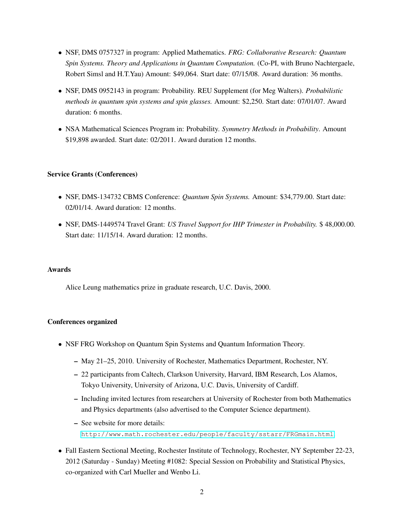- NSF, DMS 0757327 in program: Applied Mathematics. *FRG: Collaborative Research: Quantum Spin Systems. Theory and Applications in Quantum Computation.* (Co-PI, with Bruno Nachtergaele, Robert Simsl and H.T.Yau) Amount: \$49,064. Start date: 07/15/08. Award duration: 36 months.
- NSF, DMS 0952143 in program: Probability. REU Supplement (for Meg Walters). *Probabilistic methods in quantum spin systems and spin glasses.* Amount: \$2,250. Start date: 07/01/07. Award duration: 6 months.
- NSA Mathematical Sciences Program in: Probability. *Symmetry Methods in Probability*. Amount \$19,898 awarded. Start date: 02/2011. Award duration 12 months.

## Service Grants (Conferences)

- NSF, DMS-134732 CBMS Conference: *Quantum Spin Systems.* Amount: \$34,779.00. Start date: 02/01/14. Award duration: 12 months.
- NSF, DMS-1449574 Travel Grant: *US Travel Support for IHP Trimester in Probability.* \$ 48,000.00. Start date: 11/15/14. Award duration: 12 months.

#### Awards

Alice Leung mathematics prize in graduate research, U.C. Davis, 2000.

#### Conferences organized

- NSF FRG Workshop on Quantum Spin Systems and Quantum Information Theory.
	- May 21–25, 2010. University of Rochester, Mathematics Department, Rochester, NY.
	- 22 participants from Caltech, Clarkson University, Harvard, IBM Research, Los Alamos, Tokyo University, University of Arizona, U.C. Davis, University of Cardiff.
	- Including invited lectures from researchers at University of Rochester from both Mathematics and Physics departments (also advertised to the Computer Science department).
	- See website for more details: <http://www.math.rochester.edu/people/faculty/sstarr/FRGmain.html>.
- Fall Eastern Sectional Meeting, Rochester Institute of Technology, Rochester, NY September 22-23, 2012 (Saturday - Sunday) Meeting #1082: Special Session on Probability and Statistical Physics, co-organized with Carl Mueller and Wenbo Li.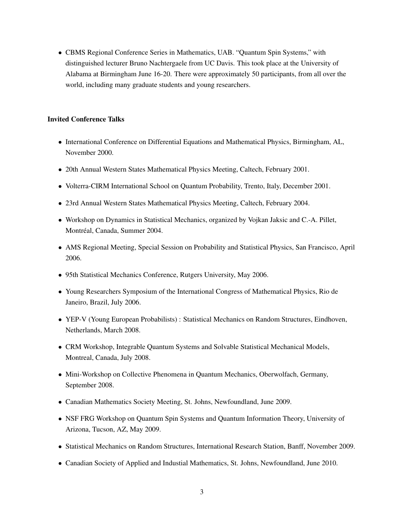• CBMS Regional Conference Series in Mathematics, UAB. "Quantum Spin Systems," with distinguished lecturer Bruno Nachtergaele from UC Davis. This took place at the University of Alabama at Birmingham June 16-20. There were approximately 50 participants, from all over the world, including many graduate students and young researchers.

# Invited Conference Talks

- International Conference on Differential Equations and Mathematical Physics, Birmingham, AL, November 2000.
- 20th Annual Western States Mathematical Physics Meeting, Caltech, February 2001.
- Volterra-CIRM International School on Quantum Probability, Trento, Italy, December 2001.
- 23rd Annual Western States Mathematical Physics Meeting, Caltech, February 2004.
- Workshop on Dynamics in Statistical Mechanics, organized by Vojkan Jaksic and C.-A. Pillet, Montréal, Canada, Summer 2004.
- AMS Regional Meeting, Special Session on Probability and Statistical Physics, San Francisco, April 2006.
- 95th Statistical Mechanics Conference, Rutgers University, May 2006.
- Young Researchers Symposium of the International Congress of Mathematical Physics, Rio de Janeiro, Brazil, July 2006.
- YEP-V (Young European Probabilists) : Statistical Mechanics on Random Structures, Eindhoven, Netherlands, March 2008.
- CRM Workshop, Integrable Quantum Systems and Solvable Statistical Mechanical Models, Montreal, Canada, July 2008.
- Mini-Workshop on Collective Phenomena in Quantum Mechanics, Oberwolfach, Germany, September 2008.
- Canadian Mathematics Society Meeting, St. Johns, Newfoundland, June 2009.
- NSF FRG Workshop on Quantum Spin Systems and Quantum Information Theory, University of Arizona, Tucson, AZ, May 2009.
- Statistical Mechanics on Random Structures, International Research Station, Banff, November 2009.
- Canadian Society of Applied and Industial Mathematics, St. Johns, Newfoundland, June 2010.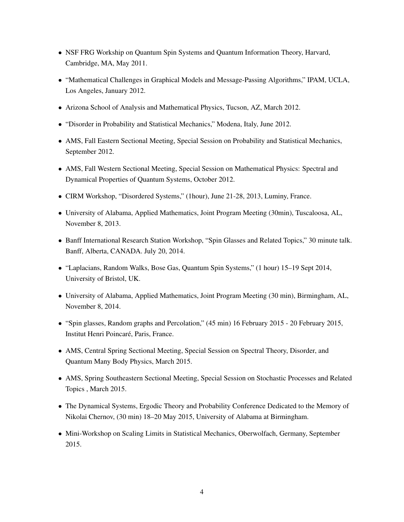- NSF FRG Workship on Quantum Spin Systems and Quantum Information Theory, Harvard, Cambridge, MA, May 2011.
- "Mathematical Challenges in Graphical Models and Message-Passing Algorithms," IPAM, UCLA, Los Angeles, January 2012.
- Arizona School of Analysis and Mathematical Physics, Tucson, AZ, March 2012.
- "Disorder in Probability and Statistical Mechanics," Modena, Italy, June 2012.
- AMS, Fall Eastern Sectional Meeting, Special Session on Probability and Statistical Mechanics, September 2012.
- AMS, Fall Western Sectional Meeting, Special Session on Mathematical Physics: Spectral and Dynamical Properties of Quantum Systems, October 2012.
- CIRM Workshop, "Disordered Systems," (1hour), June 21-28, 2013, Luminy, France.
- University of Alabama, Applied Mathematics, Joint Program Meeting (30min), Tuscaloosa, AL, November 8, 2013.
- Banff International Research Station Workshop, "Spin Glasses and Related Topics," 30 minute talk. Banff, Alberta, CANADA. July 20, 2014.
- "Laplacians, Random Walks, Bose Gas, Quantum Spin Systems," (1 hour) 15–19 Sept 2014, University of Bristol, UK.
- University of Alabama, Applied Mathematics, Joint Program Meeting (30 min), Birmingham, AL, November 8, 2014.
- "Spin glasses, Random graphs and Percolation," (45 min) 16 February 2015 20 February 2015, Institut Henri Poincaré, Paris, France.
- AMS, Central Spring Sectional Meeting, Special Session on Spectral Theory, Disorder, and Quantum Many Body Physics, March 2015.
- AMS, Spring Southeastern Sectional Meeting, Special Session on Stochastic Processes and Related Topics , March 2015.
- The Dynamical Systems, Ergodic Theory and Probability Conference Dedicated to the Memory of Nikolai Chernov, (30 min) 18–20 May 2015, University of Alabama at Birmingham.
- Mini-Workshop on Scaling Limits in Statistical Mechanics, Oberwolfach, Germany, September 2015.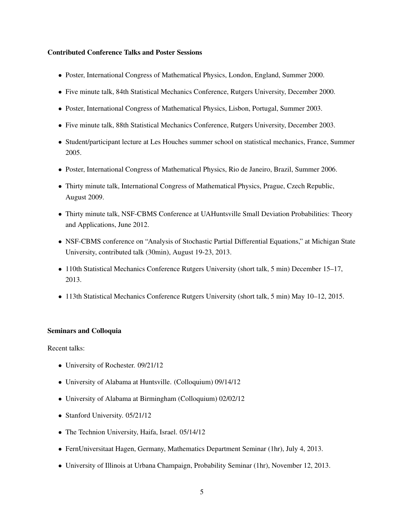## Contributed Conference Talks and Poster Sessions

- Poster, International Congress of Mathematical Physics, London, England, Summer 2000.
- Five minute talk, 84th Statistical Mechanics Conference, Rutgers University, December 2000.
- Poster, International Congress of Mathematical Physics, Lisbon, Portugal, Summer 2003.
- Five minute talk, 88th Statistical Mechanics Conference, Rutgers University, December 2003.
- Student/participant lecture at Les Houches summer school on statistical mechanics, France, Summer 2005.
- Poster, International Congress of Mathematical Physics, Rio de Janeiro, Brazil, Summer 2006.
- Thirty minute talk, International Congress of Mathematical Physics, Prague, Czech Republic, August 2009.
- Thirty minute talk, NSF-CBMS Conference at UAHuntsville Small Deviation Probabilities: Theory and Applications, June 2012.
- NSF-CBMS conference on "Analysis of Stochastic Partial Differential Equations," at Michigan State University, contributed talk (30min), August 19-23, 2013.
- 110th Statistical Mechanics Conference Rutgers University (short talk, 5 min) December 15–17, 2013.
- 113th Statistical Mechanics Conference Rutgers University (short talk, 5 min) May 10–12, 2015.

#### Seminars and Colloquia

Recent talks:

- University of Rochester. 09/21/12
- University of Alabama at Huntsville. (Colloquium) 09/14/12
- University of Alabama at Birmingham (Colloquium) 02/02/12
- Stanford University. 05/21/12
- The Technion University, Haifa, Israel. 05/14/12
- FernUniversitaat Hagen, Germany, Mathematics Department Seminar (1hr), July 4, 2013.
- University of Illinois at Urbana Champaign, Probability Seminar (1hr), November 12, 2013.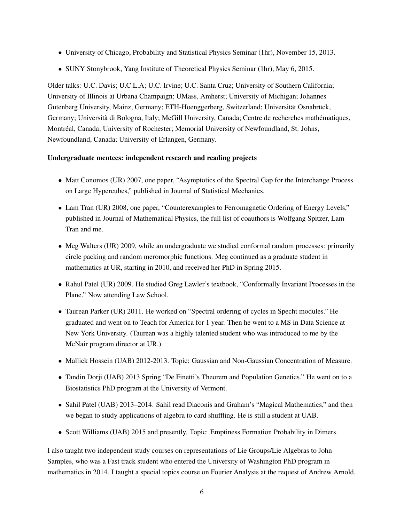- University of Chicago, Probability and Statistical Physics Seminar (1hr), November 15, 2013.
- SUNY Stonybrook, Yang Institute of Theoretical Physics Seminar (1hr), May 6, 2015.

Older talks: U.C. Davis; U.C.L.A; U.C. Irvine; U.C. Santa Cruz; University of Southern California; University of Illinois at Urbana Champaign; UMass, Amherst; University of Michigan; Johannes Gutenberg University, Mainz, Germany; ETH-Hoenggerberg, Switzerland; Universität Osnabrück, Germany; Università di Bologna, Italy; McGill University, Canada; Centre de recherches mathématiques, Montreal, Canada; University of Rochester; Memorial University of Newfoundland, St. Johns, ´ Newfoundland, Canada; University of Erlangen, Germany.

# Undergraduate mentees: independent research and reading projects

- Matt Conomos (UR) 2007, one paper, "Asymptotics of the Spectral Gap for the Interchange Process on Large Hypercubes," published in Journal of Statistical Mechanics.
- Lam Tran (UR) 2008, one paper, "Counterexamples to Ferromagnetic Ordering of Energy Levels," published in Journal of Mathematical Physics, the full list of coauthors is Wolfgang Spitzer, Lam Tran and me.
- Meg Walters (UR) 2009, while an undergraduate we studied conformal random processes: primarily circle packing and random meromorphic functions. Meg continued as a graduate student in mathematics at UR, starting in 2010, and received her PhD in Spring 2015.
- Rahul Patel (UR) 2009. He studied Greg Lawler's textbook, "Conformally Invariant Processes in the Plane." Now attending Law School.
- Taurean Parker (UR) 2011. He worked on "Spectral ordering of cycles in Specht modules." He graduated and went on to Teach for America for 1 year. Then he went to a MS in Data Science at New York University. (Taurean was a highly talented student who was introduced to me by the McNair program director at UR.)
- Mallick Hossein (UAB) 2012-2013. Topic: Gaussian and Non-Gaussian Concentration of Measure.
- Tandin Dorji (UAB) 2013 Spring "De Finetti's Theorem and Population Genetics." He went on to a Biostatistics PhD program at the University of Vermont.
- Sahil Patel (UAB) 2013–2014. Sahil read Diaconis and Graham's "Magical Mathematics," and then we began to study applications of algebra to card shuffling. He is still a student at UAB.
- Scott Williams (UAB) 2015 and presently. Topic: Emptiness Formation Probability in Dimers.

I also taught two independent study courses on representations of Lie Groups/Lie Algebras to John Samples, who was a Fast track student who entered the University of Washington PhD program in mathematics in 2014. I taught a special topics course on Fourier Analysis at the request of Andrew Arnold,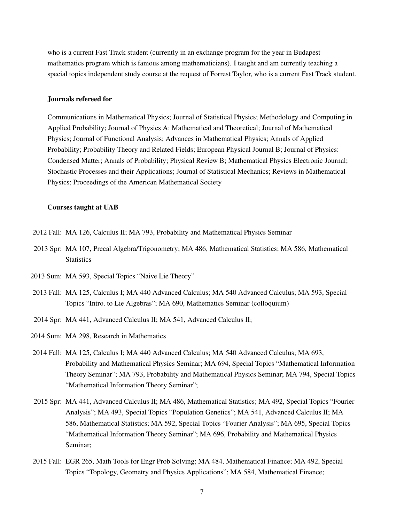who is a current Fast Track student (currently in an exchange program for the year in Budapest mathematics program which is famous among mathematicians). I taught and am currently teaching a special topics independent study course at the request of Forrest Taylor, who is a current Fast Track student.

#### Journals refereed for

Communications in Mathematical Physics; Journal of Statistical Physics; Methodology and Computing in Applied Probability; Journal of Physics A: Mathematical and Theoretical; Journal of Mathematical Physics; Journal of Functional Analysis; Advances in Mathematical Physics; Annals of Applied Probability; Probability Theory and Related Fields; European Physical Journal B; Journal of Physics: Condensed Matter; Annals of Probability; Physical Review B; Mathematical Physics Electronic Journal; Stochastic Processes and their Applications; Journal of Statistical Mechanics; Reviews in Mathematical Physics; Proceedings of the American Mathematical Society

#### Courses taught at UAB

- 2012 Fall: MA 126, Calculus II; MA 793, Probability and Mathematical Physics Seminar
- 2013 Spr: MA 107, Precal Algebra/Trigonometry; MA 486, Mathematical Statistics; MA 586, Mathematical **Statistics**
- 2013 Sum: MA 593, Special Topics "Naive Lie Theory"
- 2013 Fall: MA 125, Calculus I; MA 440 Advanced Calculus; MA 540 Advanced Calculus; MA 593, Special Topics "Intro. to Lie Algebras"; MA 690, Mathematics Seminar (colloquium)
- 2014 Spr: MA 441, Advanced Calculus II; MA 541, Advanced Calculus II;
- 2014 Sum: MA 298, Research in Mathematics
- 2014 Fall: MA 125, Calculus I; MA 440 Advanced Calculus; MA 540 Advanced Calculus; MA 693, Probability and Mathematical Physics Seminar; MA 694, Special Topics "Mathematical Information Theory Seminar"; MA 793, Probability and Mathematical Physics Seminar; MA 794, Special Topics "Mathematical Information Theory Seminar";
- 2015 Spr: MA 441, Advanced Calculus II; MA 486, Mathematical Statistics; MA 492, Special Topics "Fourier Analysis"; MA 493, Special Topics "Population Genetics"; MA 541, Advanced Calculus II; MA 586, Mathematical Statistics; MA 592, Special Topics "Fourier Analysis"; MA 695, Special Topics "Mathematical Information Theory Seminar"; MA 696, Probability and Mathematical Physics Seminar;
- 2015 Fall: EGR 265, Math Tools for Engr Prob Solving; MA 484, Mathematical Finance; MA 492, Special Topics "Topology, Geometry and Physics Applications"; MA 584, Mathematical Finance;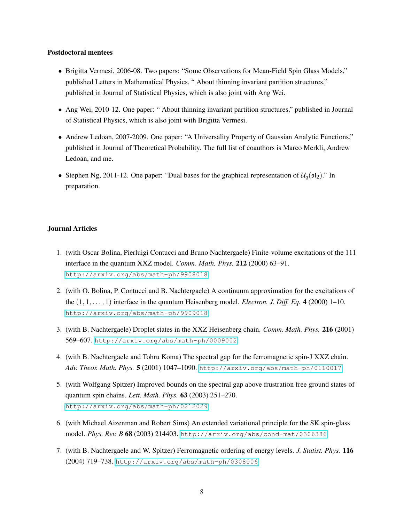#### Postdoctoral mentees

- Brigitta Vermesi, 2006-08. Two papers: "Some Observations for Mean-Field Spin Glass Models," published Letters in Mathematical Physics, " About thinning invariant partition structures," published in Journal of Statistical Physics, which is also joint with Ang Wei.
- Ang Wei, 2010-12. One paper: " About thinning invariant partition structures," published in Journal of Statistical Physics, which is also joint with Brigitta Vermesi.
- Andrew Ledoan, 2007-2009. One paper: "A Universality Property of Gaussian Analytic Functions," published in Journal of Theoretical Probability. The full list of coauthors is Marco Merkli, Andrew Ledoan, and me.
- Stephen Ng, 2011-12. One paper: "Dual bases for the graphical representation of  $\mathcal{U}_q(\mathfrak{sl}_2)$ ." In preparation.

# Journal Articles

- 1. (with Oscar Bolina, Pierluigi Contucci and Bruno Nachtergaele) Finite-volume excitations of the 111 interface in the quantum XXZ model. *Comm. Math. Phys.* 212 (2000) 63–91. <http://arxiv.org/abs/math-ph/9908018>
- 2. (with O. Bolina, P. Contucci and B. Nachtergaele) A continuum approximation for the excitations of the  $(1, 1, \ldots, 1)$  interface in the quantum Heisenberg model. *Electron. J. Diff. Eq.* 4 (2000) 1–10. <http://arxiv.org/abs/math-ph/9909018>
- 3. (with B. Nachtergaele) Droplet states in the XXZ Heisenberg chain. *Comm. Math. Phys.* 216 (2001) 569–607. <http://arxiv.org/abs/math-ph/0009002>
- 4. (with B. Nachtergaele and Tohru Koma) The spectral gap for the ferromagnetic spin-J XXZ chain. *Adv. Theor. Math. Phys.* 5 (2001) 1047–1090. <http://arxiv.org/abs/math-ph/0110017>
- 5. (with Wolfgang Spitzer) Improved bounds on the spectral gap above frustration free ground states of quantum spin chains. *Lett. Math. Phys.* 63 (2003) 251–270. <http://arxiv.org/abs/math-ph/0212029>
- 6. (with Michael Aizenman and Robert Sims) An extended variational principle for the SK spin-glass model. *Phys. Rev. B* 68 (2003) 214403. <http://arxiv.org/abs/cond-mat/0306386>
- 7. (with B. Nachtergaele and W. Spitzer) Ferromagnetic ordering of energy levels. *J. Statist. Phys.* 116 (2004) 719–738. <http://arxiv.org/abs/math-ph/0308006>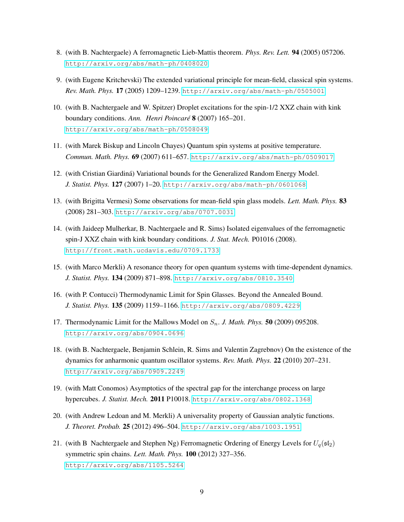- 8. (with B. Nachtergaele) A ferromagnetic Lieb-Mattis theorem. *Phys. Rev. Lett.* 94 (2005) 057206. <http://arxiv.org/abs/math-ph/0408020>
- 9. (with Eugene Kritchevski) The extended variational principle for mean-field, classical spin systems. *Rev. Math. Phys.* 17 (2005) 1209–1239. <http://arxiv.org/abs/math-ph/0505001>
- 10. (with B. Nachtergaele and W. Spitzer) Droplet excitations for the spin-1/2 XXZ chain with kink boundary conditions. *Ann. Henri Poincare´* 8 (2007) 165–201. <http://arxiv.org/abs/math-ph/0508049>
- 11. (with Marek Biskup and Lincoln Chayes) Quantum spin systems at positive temperature. *Commun. Math. Phys.* 69 (2007) 611–657. <http://arxiv.org/abs/math-ph/0509017>
- 12. (with Cristian Giardina) Variational bounds for the Generalized Random Energy Model. ´ *J. Statist. Phys.* 127 (2007) 1–20. <http://arxiv.org/abs/math-ph/0601068>
- 13. (with Brigitta Vermesi) Some observations for mean-field spin glass models. *Lett. Math. Phys.* 83 (2008) 281–303. <http://arxiv.org/abs/0707.0031>
- 14. (with Jaideep Mulherkar, B. Nachtergaele and R. Sims) Isolated eigenvalues of the ferromagnetic spin-J XXZ chain with kink boundary conditions. *J. Stat. Mech.* P01016 (2008). <http://front.math.ucdavis.edu/0709.1733>
- 15. (with Marco Merkli) A resonance theory for open quantum systems with time-dependent dynamics. *J. Statist. Phys.* 134 (2009) 871–898. <http://arxiv.org/abs/0810.3540>
- 16. (with P. Contucci) Thermodynamic Limit for Spin Glasses. Beyond the Annealed Bound. *J. Statist. Phys.* 135 (2009) 1159–1166. <http://arxiv.org/abs/0809.4229>
- 17. Thermodynamic Limit for the Mallows Model on  $S_n$ . *J. Math. Phys.* **50** (2009) 095208. <http://arxiv.org/abs/0904.0696>
- 18. (with B. Nachtergaele, Benjamin Schlein, R. Sims and Valentin Zagrebnov) On the existence of the dynamics for anharmonic quantum oscillator systems. *Rev. Math. Phys.* 22 (2010) 207–231. <http://arxiv.org/abs/0909.2249>
- 19. (with Matt Conomos) Asymptotics of the spectral gap for the interchange process on large hypercubes. *J. Statist. Mech.* 2011 P10018. <http://arxiv.org/abs/0802.1368>
- 20. (with Andrew Ledoan and M. Merkli) A universality property of Gaussian analytic functions. *J. Theoret. Probab.* 25 (2012) 496–504. <http://arxiv.org/abs/1003.1951>
- 21. (with B Nachtergaele and Stephen Ng) Ferromagnetic Ordering of Energy Levels for  $U_q(\mathfrak{sl}_2)$ symmetric spin chains. *Lett. Math. Phys.* 100 (2012) 327–356. <http://arxiv.org/abs/1105.5264>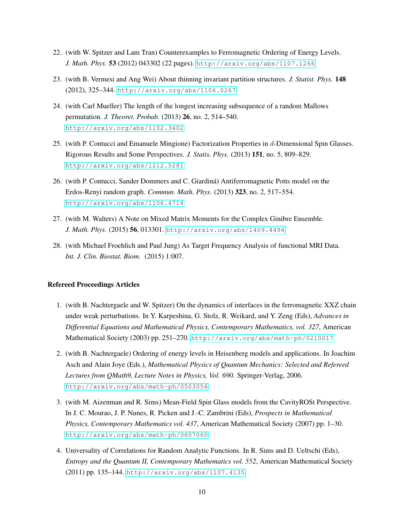- 22. (with W. Spitzer and Lam Tran) Counterexamples to Ferromagnetic Ordering of Energy Levels. *J. Math. Phys.* 53 (2012) 043302 (22 pages). <http://arxiv.org/abs/1107.1266>
- 23. (with B. Vermesi and Ang Wei) About thinning invariant partition structures. *J. Statist. Phys.* 148 (2012), 325–344. <http://arxiv.org/abs/1106.0267>
- 24. (with Carl Mueller) The length of the longest increasing subsequence of a random Mallows permutation. *J. Theoret. Probab.* (2013) 26, no. 2, 514–540. <http://arxiv.org/abs/1102.3402>
- 25. (with P. Contucci and Emanuele Mingione) Factorization Properties in d-Dimensional Spin Glasses. Rigorous Results and Some Perspectives. *J. Statis. Phys.* (2013) 151, no. 5, 809–829. <http://arxiv.org/abs/1212.5281>
- 26. (with P. Contucci, Sander Dommers and C. Giardina) Antiferromagnetic Potts model on the ´ Erdos-Renyi random graph. *Commun. Math. Phys.* (2013) 323, no. 2, 517–554. <http://arxiv.org/abs/1106.4714>
- 27. (with M. Walters) A Note on Mixed Matrix Moments for the Complex Ginibre Ensemble. *J. Math. Phys.* (2015) 56, 013301. <http://arxiv.org/abs/1409.4494>
- 28. (with Michael Froehlich and Paul Jung) As Target Frequency Analysis of functional MRI Data. *Int. J. Clin. Biostat. Biom.* (2015) 1:007.

#### Refereed Proceedings Articles

- 1. (with B. Nachtergaele and W. Spitzer) On the dynamics of interfaces in the ferromagnetic XXZ chain under weak perturbations. In Y. Karpeshina, G. Stolz, R. Weikard, and Y. Zeng (Eds), *Advances in Differential Equations and Mathematical Physics, Contemporary Mathematics, vol. 327*, American Mathematical Society (2003) pp. 251–270. <http://arxiv.org/abs/math-ph/0210017>
- 2. (with B. Nachtergaele) Ordering of energy levels in Heisenberg models and applications. In Joachim Asch and Alain Joye (Eds.), *Mathematical Physics of Quantum Mechanics: Selected and Refereed Lectures from QMath9, Lecture Notes in Physics, Vol. 690.* Springer-Verlag, 2006. <http://arxiv.org/abs/math-ph/0503056>
- 3. (with M. Aizenman and R. Sims) Mean-Field Spin Glass models from the CavityROSt Perspective. In J. C. Mourao, J. P. Nunes, R. Picken and J.-C. Zambrini (Eds), *Prospects in Mathematical Physics, Contemporary Mathematics vol. 437*, American Mathematical Society (2007) pp. 1–30. <http://arxiv.org/abs/math-ph/0607060>
- 4. Universality of Correlations for Random Analytic Functions. In R. Sims and D. Ueltschi (Eds), *Entropy and the Quantum II, Contemporary Mathematics vol. 552*, American Mathematical Society (2011) pp. 135–144. <http://arxiv.org/abs/1107.4135>